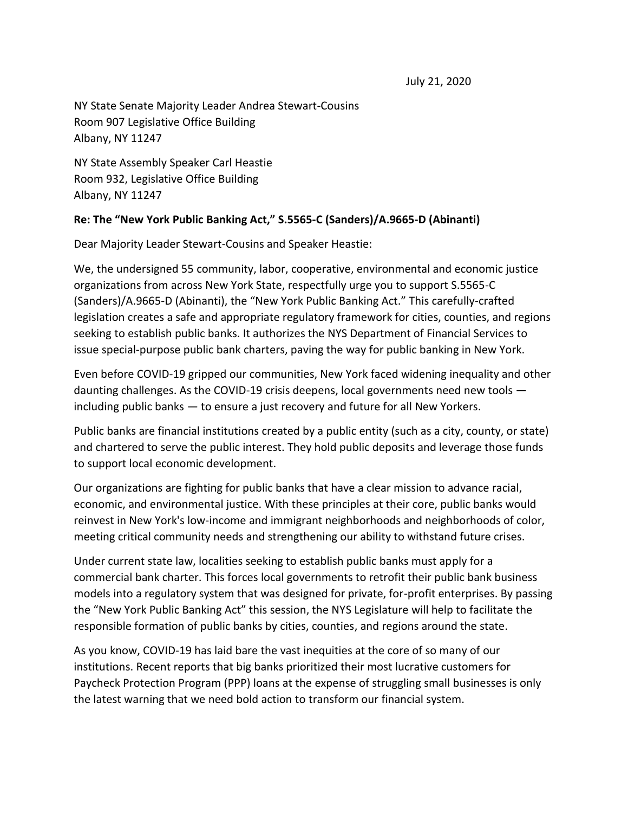NY State Senate Majority Leader Andrea Stewart-Cousins Room 907 Legislative Office Building Albany, NY 11247

NY State Assembly Speaker Carl Heastie Room 932, Legislative Office Building Albany, NY 11247

## **Re: The "New York Public Banking Act," S.5565-C (Sanders)/A.9665-D (Abinanti)**

Dear Majority Leader Stewart-Cousins and Speaker Heastie:

We, the undersigned 55 community, labor, cooperative, environmental and economic justice organizations from across New York State, respectfully urge you to support S.5565-C (Sanders)/A.9665-D (Abinanti), the "New York Public Banking Act." This carefully-crafted legislation creates a safe and appropriate regulatory framework for cities, counties, and regions seeking to establish public banks. It authorizes the NYS Department of Financial Services to issue special-purpose public bank charters, paving the way for public banking in New York.

Even before COVID-19 gripped our communities, New York faced widening inequality and other daunting challenges. As the COVID-19 crisis deepens, local governments need new tools including public banks — to ensure a just recovery and future for all New Yorkers.

Public banks are financial institutions created by a public entity (such as a city, county, or state) and chartered to serve the public interest. They hold public deposits and leverage those funds to support local economic development.

Our organizations are fighting for public banks that have a clear mission to advance racial, economic, and environmental justice. With these principles at their core, public banks would reinvest in New York's low-income and immigrant neighborhoods and neighborhoods of color, meeting critical community needs and strengthening our ability to withstand future crises.

Under current state law, localities seeking to establish public banks must apply for a commercial bank charter. This forces local governments to retrofit their public bank business models into a regulatory system that was designed for private, for-profit enterprises. By passing the "New York Public Banking Act" this session, the NYS Legislature will help to facilitate the responsible formation of public banks by cities, counties, and regions around the state.

As you know, COVID-19 has laid bare the vast inequities at the core of so many of our institutions. Recent reports that big banks prioritized their most lucrative customers for Paycheck Protection Program (PPP) loans at the expense of struggling small businesses is only the latest warning that we need bold action to transform our financial system.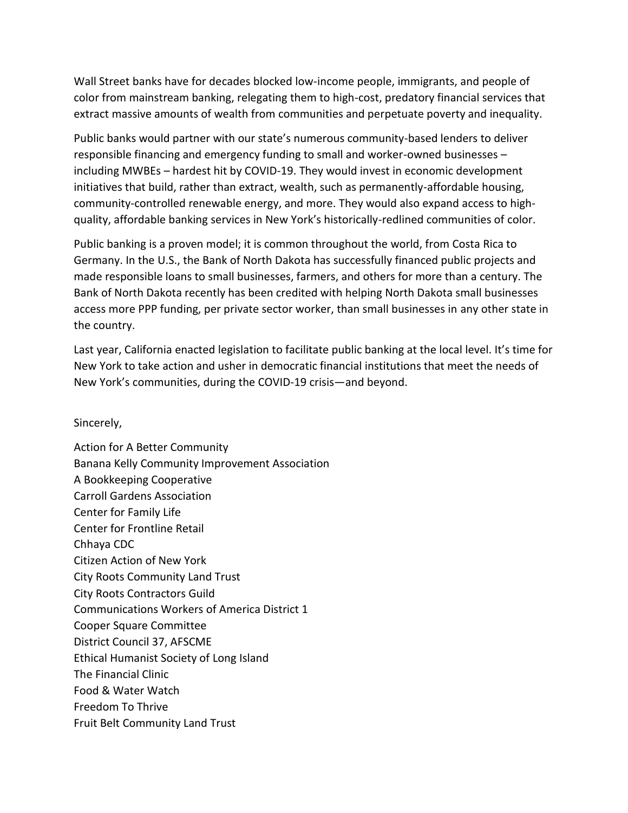Wall Street banks have for decades blocked low-income people, immigrants, and people of color from mainstream banking, relegating them to high-cost, predatory financial services that extract massive amounts of wealth from communities and perpetuate poverty and inequality.

Public banks would partner with our state's numerous community-based lenders to deliver responsible financing and emergency funding to small and worker-owned businesses – including MWBEs – hardest hit by COVID-19. They would invest in economic development initiatives that build, rather than extract, wealth, such as permanently-affordable housing, community-controlled renewable energy, and more. They would also expand access to highquality, affordable banking services in New York's historically-redlined communities of color.

Public banking is a proven model; it is common throughout the world, from Costa Rica to Germany. In the U.S., the Bank of North Dakota has successfully financed public projects and made responsible loans to small businesses, farmers, and others for more than a century. The Bank of North Dakota recently has been credited with helping North Dakota small businesses access more PPP funding, per private sector worker, than small businesses in any other state in the country.

Last year, California enacted legislation to facilitate public banking at the local level. It's time for New York to take action and usher in democratic financial institutions that meet the needs of New York's communities, during the COVID-19 crisis—and beyond.

## Sincerely,

Action for A Better Community Banana Kelly Community Improvement Association A Bookkeeping Cooperative Carroll Gardens Association Center for Family Life Center for Frontline Retail Chhaya CDC Citizen Action of New York City Roots Community Land Trust City Roots Contractors Guild Communications Workers of America District 1 Cooper Square Committee District Council 37, AFSCME Ethical Humanist Society of Long Island The Financial Clinic Food & Water Watch Freedom To Thrive Fruit Belt Community Land Trust